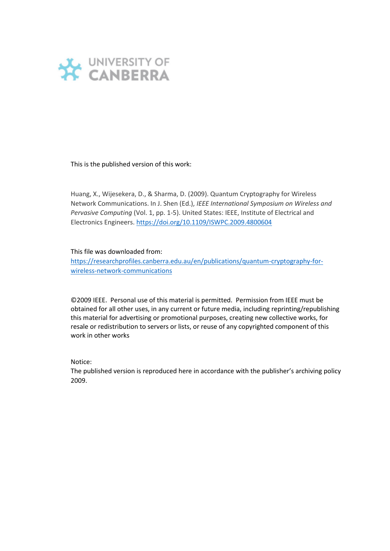

This is the published version of this work:

Huang, X., Wijesekera, D., & Sharma, D. (2009). Quantum Cryptography for Wireless Network Communications. In J. Shen (Ed.), *IEEE International Symposium on Wireless and Pervasive Computing* (Vol. 1, pp. 1-5). United States: IEEE, Institute of Electrical and Electronics Engineers. <https://doi.org/10.1109/ISWPC.2009.4800604>

This file was downloaded from:

[https://researchprofiles.canberra.edu.au/en/publications/quantum-cryptography-for](https://researchprofiles.canberra.edu.au/en/publications/quantum-cryptography-for-wireless-network-communications)[wireless-network-communications](https://researchprofiles.canberra.edu.au/en/publications/quantum-cryptography-for-wireless-network-communications)

©2009 IEEE. Personal use of this material is permitted. Permission from IEEE must be obtained for all other uses, in any current or future media, including reprinting/republishing this material for advertising or promotional purposes, creating new collective works, for resale or redistribution to servers or lists, or reuse of any copyrighted component of this work in other works

Notice:

The published version is reproduced here in accordance with the publisher's archiving policy 2009.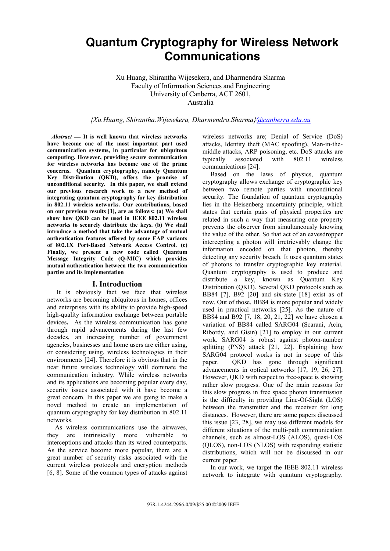# **Quantum Cryptography for Wireless Network Communications**

Xu Huang, Shirantha Wijesekera, and Dharmendra Sharma Faculty of Information Sciences and Engineering University of Canberra, ACT 2601, Australia

*{Xu.Huang, Shirantha.Wijesekera, Dharmendra.Sharma}@canberra.edu.au*

Abstract - It is well known that wireless networks **have become one of the most important part used communication systems, in particular for ubiquitous computing. However, providing secure communication for wireless networks has become one of the prime concerns. Quantum cryptography, namely Quantum Key Distribution (QKD), offers the promise of unconditional security. In this paper, we shall extend our previous research work to a new method of integrating quantum cryptography for key distribution in 802.11 wireless networks. Our contributions, based on our previous results [1], are as follows: (a) We shall show how QKD can be used in IEEE 802.11 wireless networks to securely distribute the keys. (b) We shall introduce a method that take the advantage of mutual authentication features offered by some EAP variants of 802.1X Port-Based Network Access Control. (c) Finally, we present a new code called Quantum Message Integrity Code (Q-MIC) which provides mutual authentication between the two communication parties and its implementation** 

## **I. Introduction**

It is obviously fact we face that wireless networks are becoming ubiquitous in homes, offices and enterprises with its ability to provide high-speed high-quality information exchange between portable devices**.** As the wireless communication has gone through rapid advancements during the last few decades, an increasing number of government agencies, businesses and home users are either using, or considering using, wireless technologies in their environments [24]. Therefore it is obvious that in the near future wireless technology will dominate the communication industry. While wireless networks and its applications are becoming popular every day, security issues associated with it have become a great concern. In this paper we are going to make a novel method to create an implementation of quantum cryptography for key distribution in 802.11 networks.

As wireless communications use the airwaves, they are intrinsically more vulnerable to interceptions and attacks than its wired counterparts. As the service become more popular, there are a great number of security risks associated with the current wireless protocols and encryption methods [6, 8]. Some of the common types of attacks against

wireless networks are; Denial of Service (DoS) attacks, Identity theft (MAC spoofing), Man-in-themiddle attacks, ARP poisoning, etc. DoS attacks are typically associated with 802.11 wireless communications [24].

Based on the laws of physics, quantum cryptography allows exchange of cryptographic key between two remote parties with unconditional security. The foundation of quantum cryptography lies in the Heisenberg uncertainty principle, which states that certain pairs of physical properties are related in such a way that measuring one property prevents the observer from simultaneously knowing the value of the other. So that act of an eavesdropper intercepting a photon will irretrievably change the information encoded on that photon, thereby detecting any security breach. It uses quantum states of photons to transfer cryptographic key material. Quantum cryptography is used to produce and distribute a key, known as Quantum Key Distribution (QKD). Several QKD protocols such as BB84 [7], B92 [20] and six-state [18] exist as of now. Out of those, BB84 is more popular and widely used in practical networks [25]. As the nature of BB84 and B92 [7, 18, 20, 21, 22] we have chosen a variation of BB84 called SARG04 (Scarani, Acin, Ribordy, and Gisin) [21] to employ in our current work. SARG04 is robust against photon-number splitting (PNS) attack [21, 22]. Explaining how SARG04 protocol works is not in scope of this paper. QKD has gone through significant advancements in optical networks [17, 19, 26, 27]. However, QKD with respect to free-space is showing rather slow progress. One of the main reasons for this slow progress in free space photon transmission is the difficulty in providing Line-Of-Sight (LOS) between the transmitter and the receiver for long distances. However, there are some papers discussed this issue [23, 28], we may use different models for different situations of the multi-path communication channels, such as almost-LOS (ALOS), quasi-LOS (QLOS), non-LOS (NLOS) with responding statistic distributions, which will not be discussed in our current paper.

In our work, we target the IEEE 802.11 wireless network to integrate with quantum cryptography.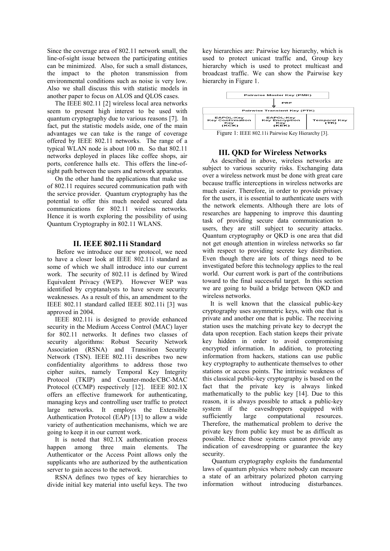Since the coverage area of 802.11 network small, the line-of-sight issue between the participating entities can be minimized. Also, for such a small distances, the impact to the photon transmission from environmental conditions such as noise is very low. Also we shall discuss this with statistic models in another paper to focus on ALOS and QLOS cases.

The IEEE 802.11 [2] wireless local area networks seem to present high interest to be used with quantum cryptography due to various reasons [7]. In fact, put the statistic models aside, one of the main advantages we can take is the range of coverage offered by IEEE 802.11 networks. The range of a typical WLAN node is about 100 m. So that 802.11 networks deployed in places like coffee shops, air ports, conference halls etc. This offers the line-ofsight path between the users and network apparatus.

On the other hand the applications that make use of 802.11 requires secured communication path with the service provider. Quantum cryptography has the potential to offer this much needed secured data communications for 802.11 wireless networks. Hence it is worth exploring the possibility of using Quantum Cryptography in 802.11 WLANS.

## **II. IEEE 802.11i Standard**

 Before we introduce our new protocol, we need to have a closer look at IEEE 802.11i standard as some of which we shall introduce into our current work. The security of 802.11 is defined by Wired Equivalent Privacy (WEP). However WEP was identified by cryptanalysts to have severe security weaknesses. As a result of this, an amendment to the IEEE 802.11 standard called IEEE 802.11i [3] was approved in 2004.

IEEE 802.11i is designed to provide enhanced security in the Medium Access Control (MAC) layer for 802.11 networks. It defines two classes of security algorithms: Robust Security Network Association (RSNA) and Transition Security Network (TSN). IEEE 802.11i describes two new confidentiality algorithms to address those two cipher suites, namely Temporal Key Integrity Protocol (TKIP) and Counter-mode/CBC-MAC Protocol (CCMP) respectively [12]. IEEE 802.1X offers an effective framework for authenticating, managing keys and controlling user traffic to protect large networks. It employs the Extensible Authentication Protocol (EAP) [13] to allow a wide variety of authentication mechanisms, which we are going to keep it in our current work.

It is noted that 802.1X authentication process happen among three main elements. The Authenticator or the Access Point allows only the supplicants who are authorized by the authentication server to gain access to the network.

RSNA defines two types of key hierarchies to divide initial key material into useful keys. The two

key hierarchies are: Pairwise key hierarchy, which is used to protect unicast traffic and, Group key hierarchy which is used to protect multicast and broadcast traffic. We can show the Pairwise key hierarchy in Figure 1.



# **III. QKD for Wireless Networks**

As described in above, wireless networks are subject to various security risks. Exchanging data over a wireless network must be done with great care because traffic interceptions in wireless networks are much easier. Therefore, in order to provide privacy for the users, it is essential to authenticate users with the network elements. Although there are lots of researches are happening to improve this daunting task of providing secure data communication to users, they are still subject to security attacks. Quantum cryptography or QKD is one area that did not get enough attention in wireless networks so far with respect to providing secrete key distribution. Even though there are lots of things need to be investigated before this technology applies to the real world. Our current work is part of the contributions toward to the final successful target. In this section we are going to build a bridge between QKD and wireless networks.

It is well known that the classical public-key cryptography uses asymmetric keys, with one that is private and another one that is public. The receiving station uses the matching private key to decrypt the data upon reception. Each station keeps their private key hidden in order to avoid compromising encrypted information. In addition, to protecting information from hackers, stations can use public key cryptography to authenticate themselves to other stations or access points. The intrinsic weakness of this classical public-key cryptography is based on the fact that the private key is always linked mathematically to the public key [14]. Due to this reason, it is always possible to attack a public-key system if the eavesdroppers equipped with sufficiently large computational resources. Therefore, the mathematical problem to derive the private key from public key must be as difficult as possible. Hence those systems cannot provide any indication of eavesdropping or guarantee the key security.

Quantum cryptography exploits the fundamental laws of quantum physics where nobody can measure a state of an arbitrary polarized photon carrying information without introducing disturbances.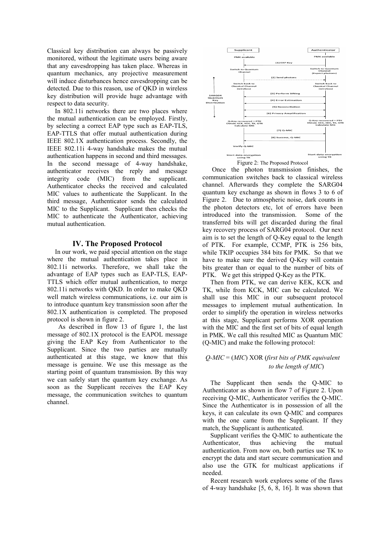Classical key distribution can always be passively monitored, without the legitimate users being aware that any eavesdropping has taken place. Whereas in quantum mechanics, any projective measurement will induce disturbances hence eavesdropping can be detected. Due to this reason, use of QKD in wireless key distribution will provide huge advantage with respect to data security.

In 802.11i networks there are two places where the mutual authentication can be employed. Firstly, by selecting a correct EAP type such as EAP-TLS, EAP-TTLS that offer mutual authentication during IEEE 802.1X authentication process. Secondly, the IEEE 802.11i 4-way handshake makes the mutual authentication happens in second and third messages. In the second message of 4-way handshake, authenticator receives the reply and message integrity code (MIC) from the supplicant. Authenticator checks the received and calculated MIC values to authenticate the Supplicant. In the third message, Authenticator sends the calculated MIC to the Supplicant. Supplicant then checks the MIC to authenticate the Authenticator, achieving mutual authentication.

#### **IV. The Proposed Protocol**

In our work, we paid special attention on the stage where the mutual authentication takes place in 802.11i networks. Therefore, we shall take the advantage of EAP types such as EAP-TLS, EAP-TTLS which offer mutual authentication, to merge 802.11i networks with QKD. In order to make QKD well match wireless communications, i.e. our aim is to introduce quantum key transmission soon after the 802.1X authentication is completed. The proposed protocol is shown in figure 2.

 As described in flow 13 of figure 1, the last message of 802.1X protocol is the EAPOL message giving the EAP Key from Authenticator to the Supplicant. Since the two parties are mutually authenticated at this stage, we know that this message is genuine. We use this message as the starting point of quantum transmission. By this way we can safely start the quantum key exchange. As soon as the Supplicant receives the EAP Key message, the communication switches to quantum channel.



 Once the photon transmission finishes, the communication switches back to classical wireless channel. Afterwards they complete the SARG04 quantum key exchange as shown in flows 3 to 6 of Figure 2. Due to atmospheric noise, dark counts in the photon detectors etc, lot of errors have been introduced into the transmission. Some of the transferred bits will get discarded during the final key recovery process of SARG04 protocol. Our next aim is to set the length of Q-Key equal to the length of PTK. For example, CCMP, PTK is 256 bits, while TKIP occupies 384 bits for PMK. So that we have to make sure the derived Q-Key will contain bits greater than or equal to the number of bits of PTK. We get this stripped Q-Key as the PTK.

Then from PTK, we can derive KEK, KCK and TK, while from KCK, MIC can be calculated. We shall use this MIC in our subsequent protocol messages to implement mutual authentication. In order to simplify the operation in wireless networks at this stage, Supplicant performs XOR operation with the MIC and the first set of bits of equal length in PMK. We call this resulted MIC as Quantum MIC (Q-MIC) and make the following protocol:

# *Q-MIC* = (*MIC*) XOR (*first bits of PMK equivalent to the length of MIC*)

The Supplicant then sends the Q-MIC to Authenticator as shown in flow 7 of Figure 2. Upon receiving Q-MIC, Authenticator verifies the Q-MIC. Since the Authenticator is in possession of all the keys, it can calculate its own Q-MIC and compares with the one came from the Supplicant. If they match, the Supplicant is authenticated.

Supplicant verifies the Q-MIC to authenticate the Authenticator, thus achieving the mutual authentication. From now on, both parties use TK to encrypt the data and start secure communication and also use the GTK for multicast applications if needed.

Recent research work explores some of the flaws of 4-way handshake [5, 6, 8, 16]. It was shown that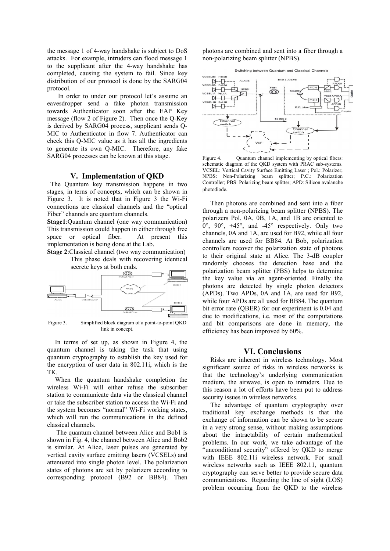the message 1 of 4-way handshake is subject to DoS attacks. For example, intruders can flood message 1 to the supplicant after the 4-way handshake has completed, causing the system to fail. Since key distribution of our protocol is done by the SARG04 protocol.

 In order to under our protocol let's assume an eavesdropper send a fake photon transmission towards Authenticator soon after the EAP Key message (flow 2 of Figure 2). Then once the Q-Key is derived by SARG04 process, supplicant sends Q-MIC to Authenticator in flow 7. Authenticator can check this Q-MIC value as it has all the ingredients to generate its own Q-MIC. Therefore, any fake SARG04 processes can be known at this stage.

## **V. Implementation of QKD**

 The Quantum key transmission happens in two stages, in terns of concepts, which can be shown in Figure 3. It is noted that in Figure 3 the Wi-Fi connections are classical channels and the "optical Fiber" channels are quantum channels.

**Stage1**:Quantum channel (one way communication) This transmission could happen in either through free space or optical fiber. At present this implementation is being done at the Lab.

**Stage 2**:Classical channel (two way communication) This phase deals with recovering identical secrete keys at both ends.



Figure 3. Simplified block diagram of a point-to-point QKD link in concept.

In terms of set up, as shown in Figure 4, the quantum channel is taking the task that using quantum cryptography to establish the key used for the encryption of user data in 802.11i, which is the TK.

When the quantum handshake completion the wireless Wi-Fi will either refuse the subscriber station to communicate data via the classical channel or take the subscriber station to access the Wi-Fi and the system becomes "normal" Wi-Fi working states, which will run the communications in the defined classical channels.

The quantum channel between Alice and Bob1 is shown in Fig. 4, the channel between Alice and Bob2 is similar. At Alice, laser pulses are generated by vertical cavity surface emitting lasers (VCSELs) and attenuated into single photon level. The polarization states of photons are set by polarizers according to corresponding protocol (B92 or BB84). Then

photons are combined and sent into a fiber through a non-polarizing beam splitter (NPBS).



Figure 4. Quantum channel implementing by optical fibers: schematic diagram of the QKD system with PRAC sub-systems. VCSEL: Vertical Cavity Surface Emitting Laser ; Pol.: Polarizer; NPBS: Non-Polarizing beam splitter; P.C.: Polarization Controller; PBS: Polarizing beam splitter; APD: Silicon avalanche photodiode.

Then photons are combined and sent into a fiber through a non-polarizing beam splitter (NPBS). The polarizers Pol. 0A, 0B, 1A, and 1B are oriented to  $0^\circ$ ,  $90^\circ$ ,  $+45^\circ$ , and  $-45^\circ$  respectively. Only two channels, 0A and 1A, are used for B92, while all four channels are used for BB84. At Bob, polarization controllers recover the polarization state of photons to their original state at Alice. The 3-dB coupler randomly chooses the detection base and the polarization beam splitter (PBS) helps to determine the key value via an agent-oriented. Finally the photons are detected by single photon detectors (APDs). Two APDs, 0A and 1A, are used for B92, while four APDs are all used for BB84. The quantum bit error rate (QBER) for our experiment is 0.04 and due to modifications, i.e. most of the computations and bit comparisons are done in memory, the efficiency has been improved by 60%.

## **VI. Conclusions**

Risks are inherent in wireless technology. Most significant source of risks in wireless networks is that the technology's underlying communication medium, the airwave, is open to intruders. Due to this reason a lot of efforts have been put to address security issues in wireless networks.

The advantage of quantum cryptography over traditional key exchange methods is that the exchange of information can be shown to be secure in a very strong sense, without making assumptions about the intractability of certain mathematical problems. In our work, we take advantage of the "unconditional security" offered by QKD to merge with IEEE 802.11i wireless network. For small wireless networks such as IEEE 802.11, quantum cryptography can serve better to provide secure data communications. Regarding the line of sight (LOS) problem occurring from the QKD to the wireless